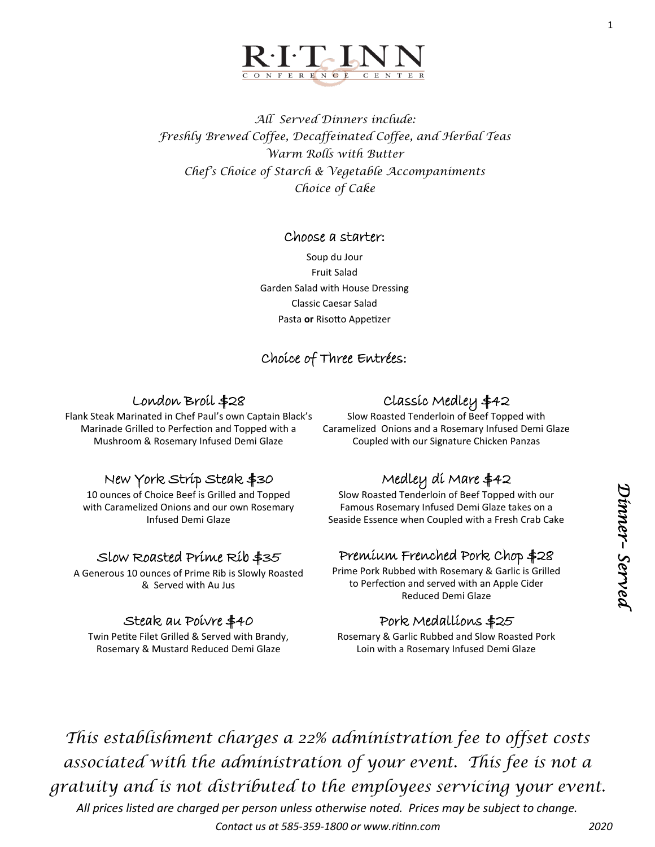

*All Served Dinners include: Freshly Brewed Coffee, Decaffeinated Coffee, and Herbal Teas Warm Rolls with Butter Chef's Choice of Starch & Vegetable Accompaniments Choice of Cake*

### Choose a starter:

Soup du Jour Fruit Salad Garden Salad with House Dressing Classic Caesar Salad Pasta **or** Risotto Appetizer

# Choice of Three Entrées:

## London Broil \$28

Flank Steak Marinated in Chef Paul's own Captain Black's Marinade Grilled to Perfection and Topped with a Mushroom & Rosemary Infused Demi Glaze

# New York Strip Steak \$30

10 ounces of Choice Beef is Grilled and Topped with Caramelized Onions and our own Rosemary Infused Demi Glaze

## Slow Roasted Prime Rib \$35

A Generous 10 ounces of Prime Rib is Slowly Roasted & Served with Au Jus

## Steak au Poivre \$40

Twin Petite Filet Grilled & Served with Brandy, Rosemary & Mustard Reduced Demi Glaze

# Classic Medley \$42

Slow Roasted Tenderloin of Beef Topped with Caramelized Onions and a Rosemary Infused Demi Glaze Coupled with our Signature Chicken Panzas

# Medley di Mare \$42

Slow Roasted Tenderloin of Beef Topped with our Famous Rosemary Infused Demi Glaze takes on a Seaside Essence when Coupled with a Fresh Crab Cake

# Premium Frenched Pork Chop \$28

Prime Pork Rubbed with Rosemary & Garlic is Grilled to Perfection and served with an Apple Cider Reduced Demi Glaze

## Pork Medallions \$25

Rosemary & Garlic Rubbed and Slow Roasted Pork Loin with a Rosemary Infused Demi Glaze

*This establishment charges a 22% administration fee to offset costs associated with the administration of your event. This fee is not a gratuity and is not distributed to the employees servicing your event.*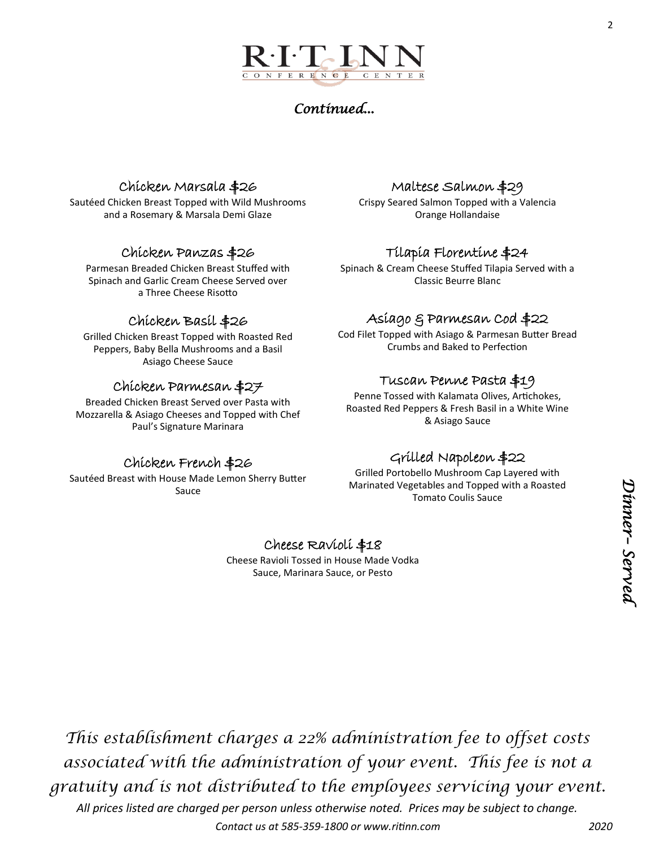# *Continued...*

# Chicken Marsala \$26

Sautéed Chicken Breast Topped with Wild Mushrooms and a Rosemary & Marsala Demi Glaze

# Chicken Panzas \$26

Parmesan Breaded Chicken Breast Stuffed with Spinach and Garlic Cream Cheese Served over a Three Cheese Risotto

# Chicken Basil \$26

Grilled Chicken Breast Topped with Roasted Red Peppers, Baby Bella Mushrooms and a Basil Asiago Cheese Sauce

## Chicken Parmesan \$27

Breaded Chicken Breast Served over Pasta with Mozzarella & Asiago Cheeses and Topped with Chef Paul's Signature Marinara

#### Maltese Salmon \$29 Crispy Seared Salmon Topped with a Valencia Orange Hollandaise

# Tilapia Florentine \$24

Spinach & Cream Cheese Stuffed Tilapia Served with a Classic Beurre Blanc

# Asiago & Parmesan Cod \$22

Cod Filet Topped with Asiago & Parmesan Butter Bread Crumbs and Baked to Perfection

## Tuscan Penne Pasta \$19

Penne Tossed with Kalamata Olives, Artichokes, Roasted Red Peppers & Fresh Basil in a White Wine & Asiago Sauce

## Chicken French \$26

Sautéed Breast with House Made Lemon Sherry Butter Sauce

# Grilled Napoleon \$22

Grilled Portobello Mushroom Cap Layered with Marinated Vegetables and Topped with a Roasted Tomato Coulis Sauce

# Cheese Ravioli \$18

Cheese Ravioli Tossed in House Made Vodka Sauce, Marinara Sauce, or Pesto

*This establishment charges a 22% administration fee to offset costs associated with the administration of your event. This fee is not a gratuity and is not distributed to the employees servicing your event.*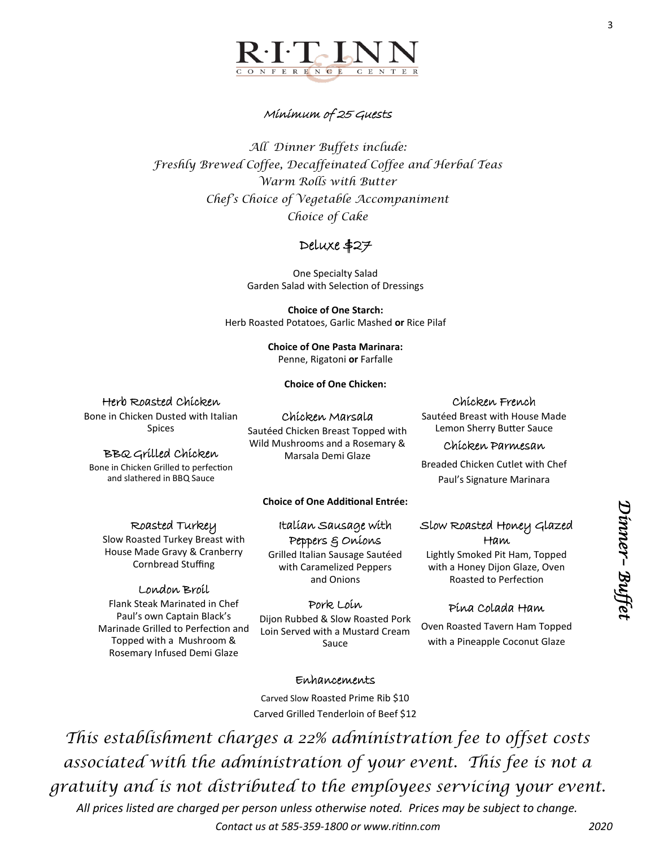

## Minimum of 25 Guests

*All Dinner Buffets include: Freshly Brewed Coffee, Decaffeinated Coffee and Herbal Teas Warm Rolls with Butter Chef's Choice of Vegetable Accompaniment Choice of Cake* 

# Deluxe \$27

One Specialty Salad Garden Salad with Selection of Dressings

**Choice of One Starch:** Herb Roasted Potatoes, Garlic Mashed **or** Rice Pilaf

> **Choice of One Pasta Marinara:** Penne, Rigatoni **or** Farfalle

> > **Choice of One Chicken:**

### Herb Roasted Chicken

Bone in Chicken Dusted with Italian Spices

### BBQ Grilled Chicken

Bone in Chicken Grilled to perfection and slathered in BBQ Sauce

### Roasted Turkey

Slow Roasted Turkey Breast with House Made Gravy & Cranberry Cornbread Stuffing

### London Broil

Flank Steak Marinated in Chef Paul's own Captain Black's Marinade Grilled to Perfection and Topped with a Mushroom & Rosemary Infused Demi Glaze

Wild Mushrooms and a Rosemary & Marsala Demi Glaze

Chicken Marsala Sautéed Chicken Breast Topped with

**Choice of One Additional Entrée:**

### Italian Sausage with Peppers & Onions

Grilled Italian Sausage Sautéed with Caramelized Peppers and Onions

### Pork Loin

Dijon Rubbed & Slow Roasted Pork Loin Served with a Mustard Cream Sauce

#### Chicken French Sautéed Breast with House Made

Lemon Sherry Butter Sauce

#### Chicken Parmesan

Breaded Chicken Cutlet with Chef Paul's Signature Marinara

### Slow Roasted Honey Glazed Ham

Lightly Smoked Pit Ham, Topped with a Honey Dijon Glaze, Oven Roasted to Perfection

### Pina Colada Ham

Oven Roasted Tavern Ham Topped with a Pineapple Coconut Glaze

Enhancements

Carved Slow Roasted Prime Rib \$10 Carved Grilled Tenderloin of Beef \$12

*This establishment charges a 22% administration fee to offset costs associated with the administration of your event. This fee is not a gratuity and is not distributed to the employees servicing your event.* 

*All prices listed are charged per person unless otherwise noted. Prices may be subject to change. Contact us at 585-359-1800 or www.ritinn.com 2020*

3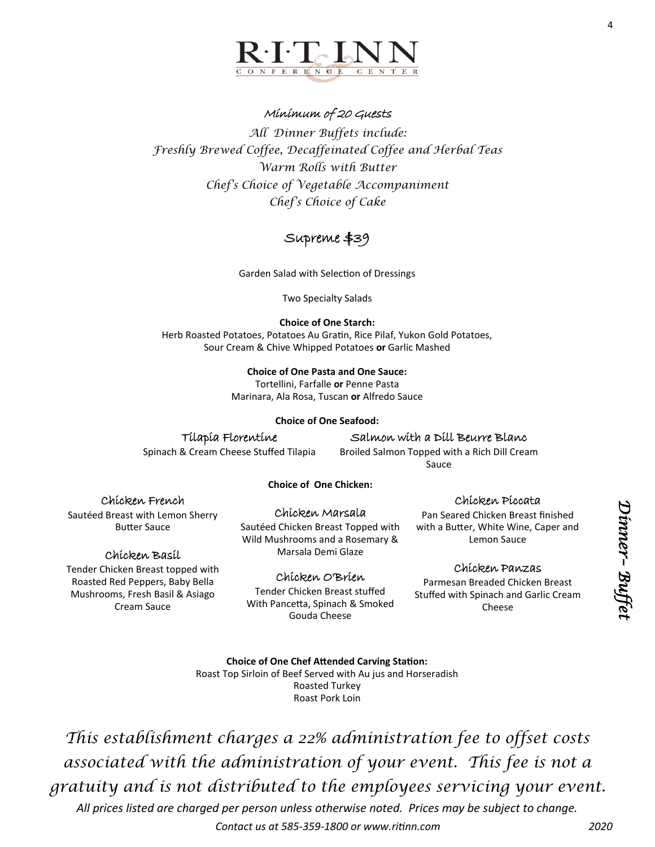## Minimum of 20 Guests

*All Dinner Buffets include: Freshly Brewed Coffee, Decaffeinated Coffee and Herbal Teas Warm Rolls with Butter Chef's Choice of Vegetable Accompaniment Chef's Choice of Cake* 

# Supreme \$39

Garden Salad with Selection of Dressings

Two Specialty Salads

### **Choice of One Starch:**

Herb Roasted Potatoes, Potatoes Au Gratin, Rice Pilaf, Yukon Gold Potatoes, Sour Cream & Chive Whipped Potatoes **or** Garlic Mashed

### **Choice of One Pasta and One Sauce:**

Tortellini, Farfalle **or** Penne Pasta Marinara, Ala Rosa, Tuscan **or** Alfredo Sauce

### **Choice of One Seafood:**

## Tilapia Florentine

Spinach & Cream Cheese Stuffed Tilapia

Salmon with a Dill Beurre Blanc

Broiled Salmon Topped with a Rich Dill Cream Sauce

### **Choice of One Chicken:**

## Chicken French

Sautéed Breast with Lemon Sherry Butter Sauce

## Chicken Basil

Tender Chicken Breast topped with Roasted Red Peppers, Baby Bella Mushrooms, Fresh Basil & Asiago Cream Sauce

### Chicken Marsala

Sautéed Chicken Breast Topped with Wild Mushrooms and a Rosemary & Marsala Demi Glaze

## Chicken O'Brien

Tender Chicken Breast stuffed With Pancetta, Spinach & Smoked Gouda Cheese

### Chicken Piccata

Pan Seared Chicken Breast finished with a Butter, White Wine, Caper and Lemon Sauce

## Chicken Panzas

Parmesan Breaded Chicken Breast Stuffed with Spinach and Garlic Cream Cheese

**Choice of One Chef Attended Carving Station:** Roast Top Sirloin of Beef Served with Au jus and Horseradish Roasted Turkey

Roast Pork Loin

*This establishment charges a 22% administration fee to offset costs associated with the administration of your event. This fee is not a gratuity and is not distributed to the employees servicing your event.* 

*All prices listed are charged per person unless otherwise noted. Prices may be subject to change. Contact us at 585-359-1800 or www.ritinn.com 2020*

4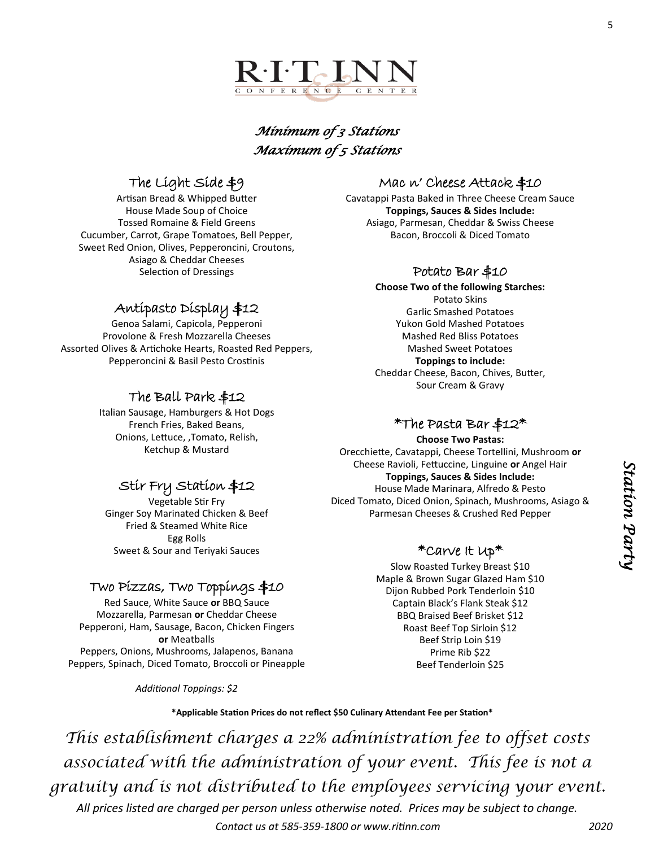

# *Minimum of 3 Stations Maximum of 5 Stations*

# The Light Side \$9

Artisan Bread & Whipped Butter House Made Soup of Choice Tossed Romaine & Field Greens Cucumber, Carrot, Grape Tomatoes, Bell Pepper, Sweet Red Onion, Olives, Pepperoncini, Croutons, Asiago & Cheddar Cheeses Selection of Dressings

# Antipasto Display \$12

Genoa Salami, Capicola, Pepperoni Provolone & Fresh Mozzarella Cheeses Assorted Olives & Artichoke Hearts, Roasted Red Peppers, Pepperoncini & Basil Pesto Crostinis

# The Ball Park \$12

Italian Sausage, Hamburgers & Hot Dogs French Fries, Baked Beans, Onions, Lettuce, ,Tomato, Relish, Ketchup & Mustard

# Stir Fry Station \$12

Vegetable Stir Fry Ginger Soy Marinated Chicken & Beef Fried & Steamed White Rice Egg Rolls Sweet & Sour and Teriyaki Sauces

## Two Pizzas, Two Toppings \$10

Red Sauce, White Sauce **or** BBQ Sauce Mozzarella, Parmesan **or** Cheddar Cheese Pepperoni, Ham, Sausage, Bacon, Chicken Fingers **or** Meatballs Peppers, Onions, Mushrooms, Jalapenos, Banana Peppers, Spinach, Diced Tomato, Broccoli or Pineapple

*Additional Toppings: \$2*

# Mac n' Cheese Attack \$10

Cavatappi Pasta Baked in Three Cheese Cream Sauce **Toppings, Sauces & Sides Include:** Asiago, Parmesan, Cheddar & Swiss Cheese Bacon, Broccoli & Diced Tomato

## Potato Bar \$10

**Choose Two of the following Starches:** Potato Skins Garlic Smashed Potatoes Yukon Gold Mashed Potatoes Mashed Red Bliss Potatoes Mashed Sweet Potatoes **Toppings to include:** Cheddar Cheese, Bacon, Chives, Butter, Sour Cream & Gravy

## $*$ The Pasta Bar \$12 $*$

**Choose Two Pastas:** Orecchiette, Cavatappi, Cheese Tortellini, Mushroom **or**  Cheese Ravioli, Fettuccine, Linguine **or** Angel Hair **Toppings, Sauces & Sides Include:** House Made Marinara, Alfredo & Pesto Diced Tomato, Diced Onion, Spinach, Mushrooms, Asiago & Parmesan Cheeses & Crushed Red Pepper

## \*Carve It Up\*

Slow Roasted Turkey Breast \$10 Maple & Brown Sugar Glazed Ham \$10 Dijon Rubbed Pork Tenderloin \$10 Captain Black's Flank Steak \$12 BBQ Braised Beef Brisket \$12 Roast Beef Top Sirloin \$12 Beef Strip Loin \$19 Prime Rib \$22 Beef Tenderloin \$25

**\*Applicable Station Prices do not reflect \$50 Culinary Attendant Fee per Station\***

*This establishment charges a 22% administration fee to offset costs associated with the administration of your event. This fee is not a gratuity and is not distributed to the employees servicing your event.* 

*All prices listed are charged per person unless otherwise noted. Prices may be subject to change. Contact us at 585-359-1800 or www.ritinn.com 2020*

5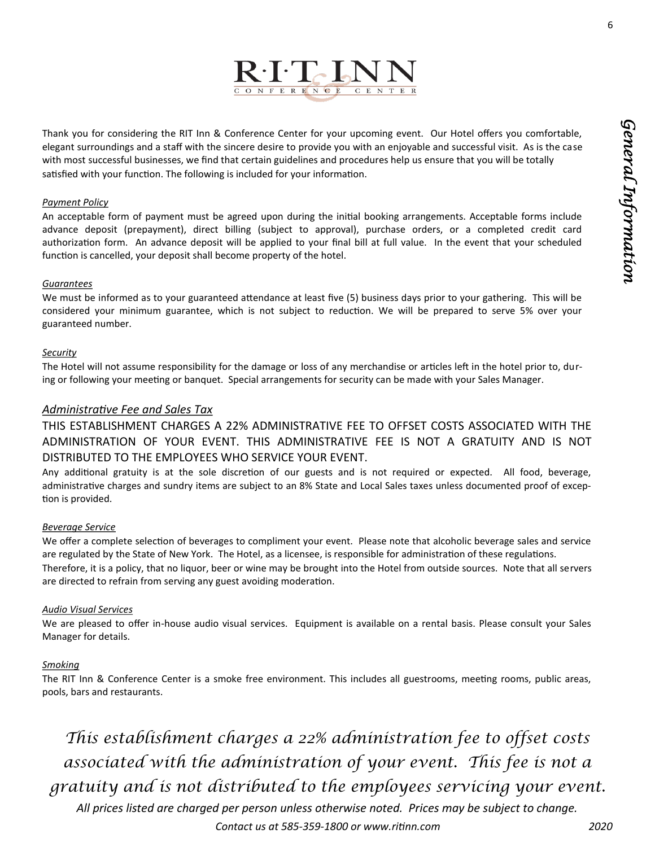6



Thank you for considering the RIT Inn & Conference Center for your upcoming event. Our Hotel offers you comfortable, elegant surroundings and a staff with the sincere desire to provide you with an enjoyable and successful visit. As is the case with most successful businesses, we find that certain guidelines and procedures help us ensure that you will be totally satisfied with your function. The following is included for your information.

#### *Payment Policy*

An acceptable form of payment must be agreed upon during the initial booking arrangements. Acceptable forms include advance deposit (prepayment), direct billing (subject to approval), purchase orders, or a completed credit card authorization form. An advance deposit will be applied to your final bill at full value. In the event that your scheduled function is cancelled, your deposit shall become property of the hotel.

#### *Guarantees*

We must be informed as to your guaranteed attendance at least five (5) business days prior to your gathering. This will be considered your minimum guarantee, which is not subject to reduction. We will be prepared to serve 5% over your guaranteed number.

#### *Security*

The Hotel will not assume responsibility for the damage or loss of any merchandise or articles left in the hotel prior to, during or following your meeting or banquet. Special arrangements for security can be made with your Sales Manager.

#### *Administrative Fee and Sales Tax*

THIS ESTABLISHMENT CHARGES A 22% ADMINISTRATIVE FEE TO OFFSET COSTS ASSOCIATED WITH THE ADMINISTRATION OF YOUR EVENT. THIS ADMINISTRATIVE FEE IS NOT A GRATUITY AND IS NOT DISTRIBUTED TO THE EMPLOYEES WHO SERVICE YOUR EVENT.

Any additional gratuity is at the sole discretion of our guests and is not required or expected. All food, beverage, administrative charges and sundry items are subject to an 8% State and Local Sales taxes unless documented proof of exception is provided.

#### *Beverage Service*

We offer a complete selection of beverages to compliment your event. Please note that alcoholic beverage sales and service are regulated by the State of New York. The Hotel, as a licensee, is responsible for administration of these regulations. Therefore, it is a policy, that no liquor, beer or wine may be brought into the Hotel from outside sources. Note that all servers are directed to refrain from serving any guest avoiding moderation.

#### *Audio Visual Services*

We are pleased to offer in-house audio visual services. Equipment is available on a rental basis. Please consult your Sales Manager for details.

#### *Smoking*

The RIT Inn & Conference Center is a smoke free environment. This includes all guestrooms, meeting rooms, public areas, pools, bars and restaurants.

*This establishment charges a 22% administration fee to offset costs associated with the administration of your event. This fee is not a gratuity and is not distributed to the employees servicing your event.*